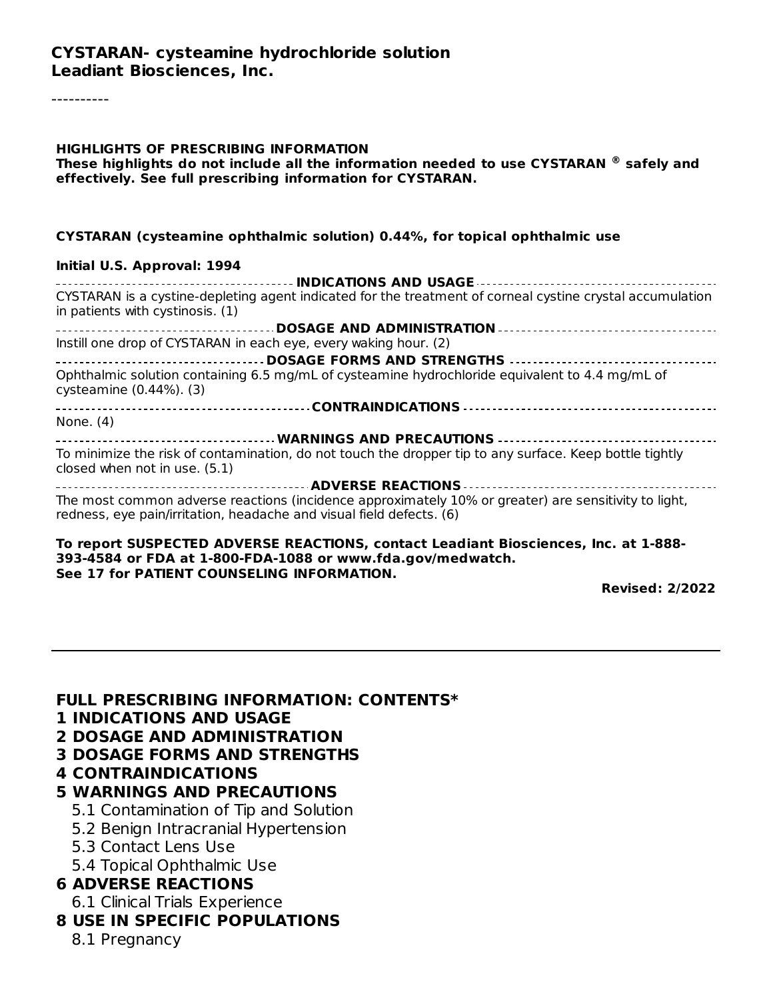#### **CYSTARAN- cysteamine hydrochloride solution Leadiant Biosciences, Inc.**

----------

#### **HIGHLIGHTS OF PRESCRIBING INFORMATION These highlights do not include all the information needed to use CYSTARAN safely and ®effectively. See full prescribing information for CYSTARAN.**

#### **CYSTARAN (cysteamine ophthalmic solution) 0.44%, for topical ophthalmic use**

#### **Initial U.S. Approval: 1994**

| CYSTARAN is a cystine-depleting agent indicated for the treatment of corneal cystine crystal accumulation<br>in patients with cystinosis. (1)                                |
|------------------------------------------------------------------------------------------------------------------------------------------------------------------------------|
|                                                                                                                                                                              |
| Instill one drop of CYSTARAN in each eye, every waking hour. (2)                                                                                                             |
|                                                                                                                                                                              |
| Ophthalmic solution containing 6.5 mg/mL of cysteamine hydrochloride equivalent to 4.4 mg/mL of<br>cysteamine (0.44%). (3)                                                   |
|                                                                                                                                                                              |
| None. $(4)$                                                                                                                                                                  |
| __________________________________WARNINGS AND PRECAUTIONS ____________________________                                                                                      |
| To minimize the risk of contamination, do not touch the dropper tip to any surface. Keep bottle tightly<br>closed when not in use. (5.1)                                     |
|                                                                                                                                                                              |
| The most common adverse reactions (incidence approximately 10% or greater) are sensitivity to light,<br>redness, eye pain/irritation, headache and visual field defects. (6) |
|                                                                                                                                                                              |

#### **To report SUSPECTED ADVERSE REACTIONS, contact Leadiant Biosciences, Inc. at 1-888- 393-4584 or FDA at 1-800-FDA-1088 or www.fda.gov/medwatch. See 17 for PATIENT COUNSELING INFORMATION.**

**Revised: 2/2022**

#### **FULL PRESCRIBING INFORMATION: CONTENTS\***

- **1 INDICATIONS AND USAGE**
- **2 DOSAGE AND ADMINISTRATION**
- **3 DOSAGE FORMS AND STRENGTHS**

#### **4 CONTRAINDICATIONS**

#### **5 WARNINGS AND PRECAUTIONS**

- 5.1 Contamination of Tip and Solution
- 5.2 Benign Intracranial Hypertension
- 5.3 Contact Lens Use
- 5.4 Topical Ophthalmic Use

## **6 ADVERSE REACTIONS**

- 6.1 Clinical Trials Experience
- **8 USE IN SPECIFIC POPULATIONS**
	- 8.1 Pregnancy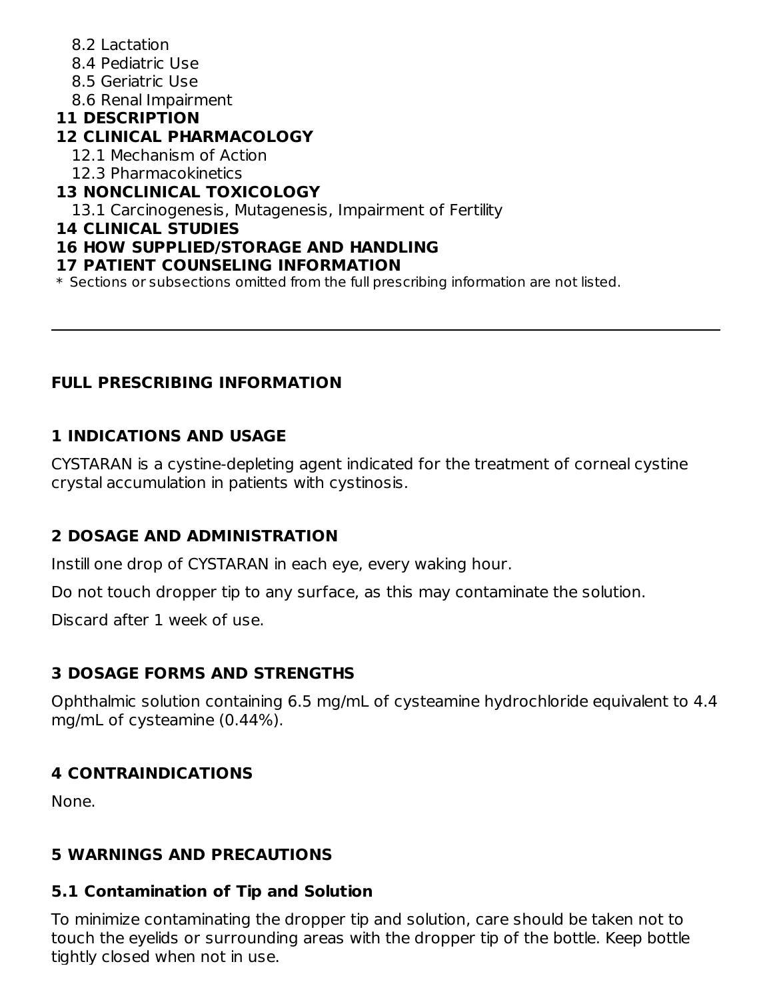- 8.2 Lactation
- 8.4 Pediatric Use
- 8.5 Geriatric Use
- 8.6 Renal Impairment

#### **11 DESCRIPTION**

## **12 CLINICAL PHARMACOLOGY**

- 12.1 Mechanism of Action
- 12.3 Pharmacokinetics

## **13 NONCLINICAL TOXICOLOGY**

13.1 Carcinogenesis, Mutagenesis, Impairment of Fertility

#### **14 CLINICAL STUDIES**

## **16 HOW SUPPLIED/STORAGE AND HANDLING**

#### **17 PATIENT COUNSELING INFORMATION**

\* Sections or subsections omitted from the full prescribing information are not listed.

## **FULL PRESCRIBING INFORMATION**

## **1 INDICATIONS AND USAGE**

CYSTARAN is a cystine-depleting agent indicated for the treatment of corneal cystine crystal accumulation in patients with cystinosis.

## **2 DOSAGE AND ADMINISTRATION**

Instill one drop of CYSTARAN in each eye, every waking hour.

Do not touch dropper tip to any surface, as this may contaminate the solution.

Discard after 1 week of use.

## **3 DOSAGE FORMS AND STRENGTHS**

Ophthalmic solution containing 6.5 mg/mL of cysteamine hydrochloride equivalent to 4.4 mg/mL of cysteamine (0.44%).

## **4 CONTRAINDICATIONS**

None.

#### **5 WARNINGS AND PRECAUTIONS**

#### **5.1 Contamination of Tip and Solution**

To minimize contaminating the dropper tip and solution, care should be taken not to touch the eyelids or surrounding areas with the dropper tip of the bottle. Keep bottle tightly closed when not in use.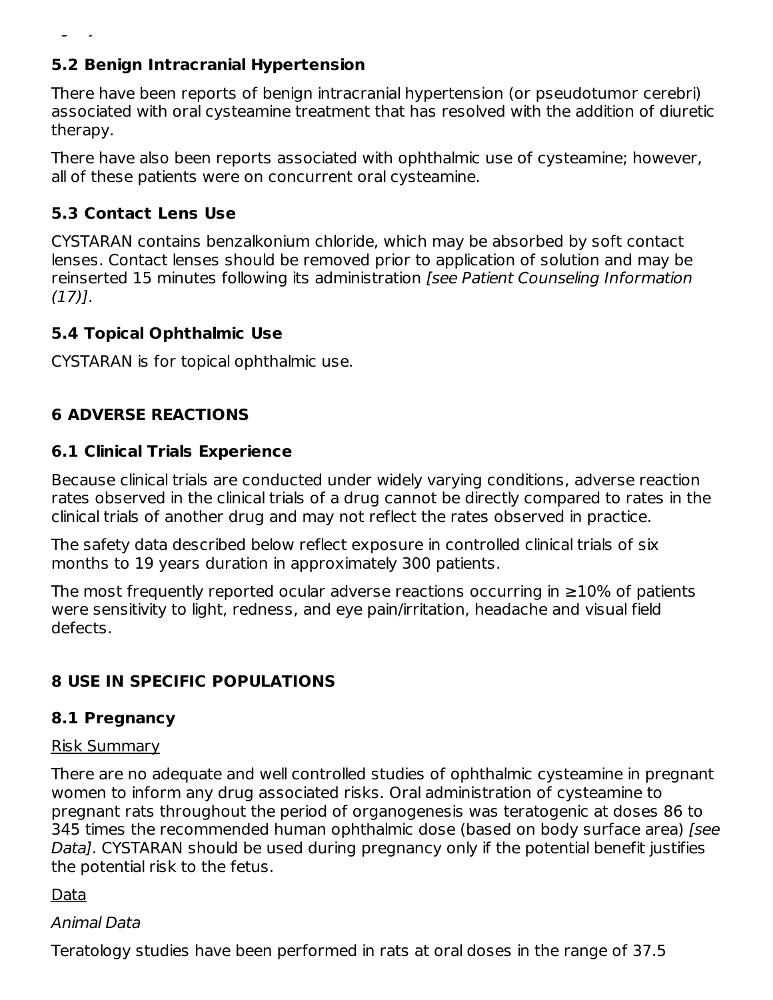## **5.2 Benign Intracranial Hypertension**

tightly closed when not in use.

There have been reports of benign intracranial hypertension (or pseudotumor cerebri) associated with oral cysteamine treatment that has resolved with the addition of diuretic therapy.

There have also been reports associated with ophthalmic use of cysteamine; however, all of these patients were on concurrent oral cysteamine.

## **5.3 Contact Lens Use**

CYSTARAN contains benzalkonium chloride, which may be absorbed by soft contact lenses. Contact lenses should be removed prior to application of solution and may be reinserted 15 minutes following its administration [see Patient Counseling Information (17)].

#### **5.4 Topical Ophthalmic Use**

CYSTARAN is for topical ophthalmic use.

## **6 ADVERSE REACTIONS**

#### **6.1 Clinical Trials Experience**

Because clinical trials are conducted under widely varying conditions, adverse reaction rates observed in the clinical trials of a drug cannot be directly compared to rates in the clinical trials of another drug and may not reflect the rates observed in practice.

The safety data described below reflect exposure in controlled clinical trials of six months to 19 years duration in approximately 300 patients.

The most frequently reported ocular adverse reactions occurring in  $\geq$ 10% of patients were sensitivity to light, redness, and eye pain/irritation, headache and visual field defects.

## **8 USE IN SPECIFIC POPULATIONS**

#### **8.1 Pregnancy**

#### Risk Summary

There are no adequate and well controlled studies of ophthalmic cysteamine in pregnant women to inform any drug associated risks. Oral administration of cysteamine to pregnant rats throughout the period of organogenesis was teratogenic at doses 86 to 345 times the recommended human ophthalmic dose (based on body surface area) [see Data]. CYSTARAN should be used during pregnancy only if the potential benefit justifies the potential risk to the fetus.

Data

#### Animal Data

Teratology studies have been performed in rats at oral doses in the range of 37.5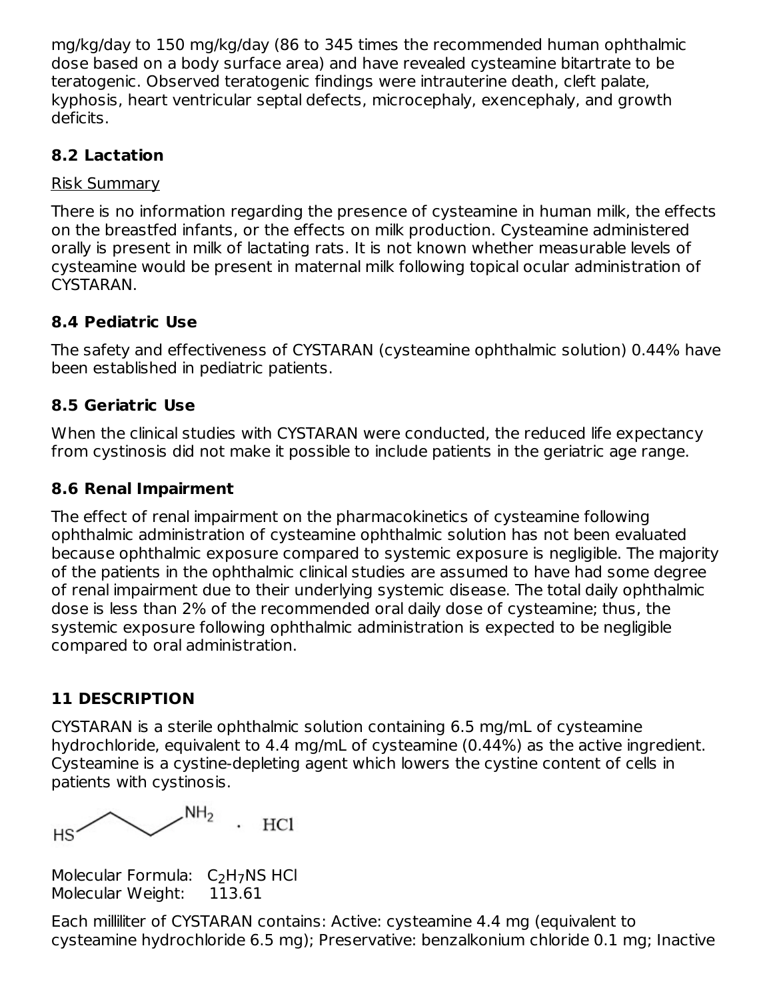mg/kg/day to 150 mg/kg/day (86 to 345 times the recommended human ophthalmic dose based on a body surface area) and have revealed cysteamine bitartrate to be teratogenic. Observed teratogenic findings were intrauterine death, cleft palate, kyphosis, heart ventricular septal defects, microcephaly, exencephaly, and growth deficits.

### **8.2 Lactation**

#### Risk Summary

There is no information regarding the presence of cysteamine in human milk, the effects on the breastfed infants, or the effects on milk production. Cysteamine administered orally is present in milk of lactating rats. It is not known whether measurable levels of cysteamine would be present in maternal milk following topical ocular administration of CYSTARAN.

## **8.4 Pediatric Use**

The safety and effectiveness of CYSTARAN (cysteamine ophthalmic solution) 0.44% have been established in pediatric patients.

## **8.5 Geriatric Use**

When the clinical studies with CYSTARAN were conducted, the reduced life expectancy from cystinosis did not make it possible to include patients in the geriatric age range.

## **8.6 Renal Impairment**

The effect of renal impairment on the pharmacokinetics of cysteamine following ophthalmic administration of cysteamine ophthalmic solution has not been evaluated because ophthalmic exposure compared to systemic exposure is negligible. The majority of the patients in the ophthalmic clinical studies are assumed to have had some degree of renal impairment due to their underlying systemic disease. The total daily ophthalmic dose is less than 2% of the recommended oral daily dose of cysteamine; thus, the systemic exposure following ophthalmic administration is expected to be negligible compared to oral administration.

## **11 DESCRIPTION**

CYSTARAN is a sterile ophthalmic solution containing 6.5 mg/mL of cysteamine hydrochloride, equivalent to 4.4 mg/mL of cysteamine (0.44%) as the active ingredient. Cysteamine is a cystine-depleting agent which lowers the cystine content of cells in patients with cystinosis.

 $NH<sub>2</sub>$ HC1 HS

Molecular Formula:  $C_2H_7NS$  HCl Molecular Weight: 113.61

Each milliliter of CYSTARAN contains: Active: cysteamine 4.4 mg (equivalent to cysteamine hydrochloride 6.5 mg); Preservative: benzalkonium chloride 0.1 mg; Inactive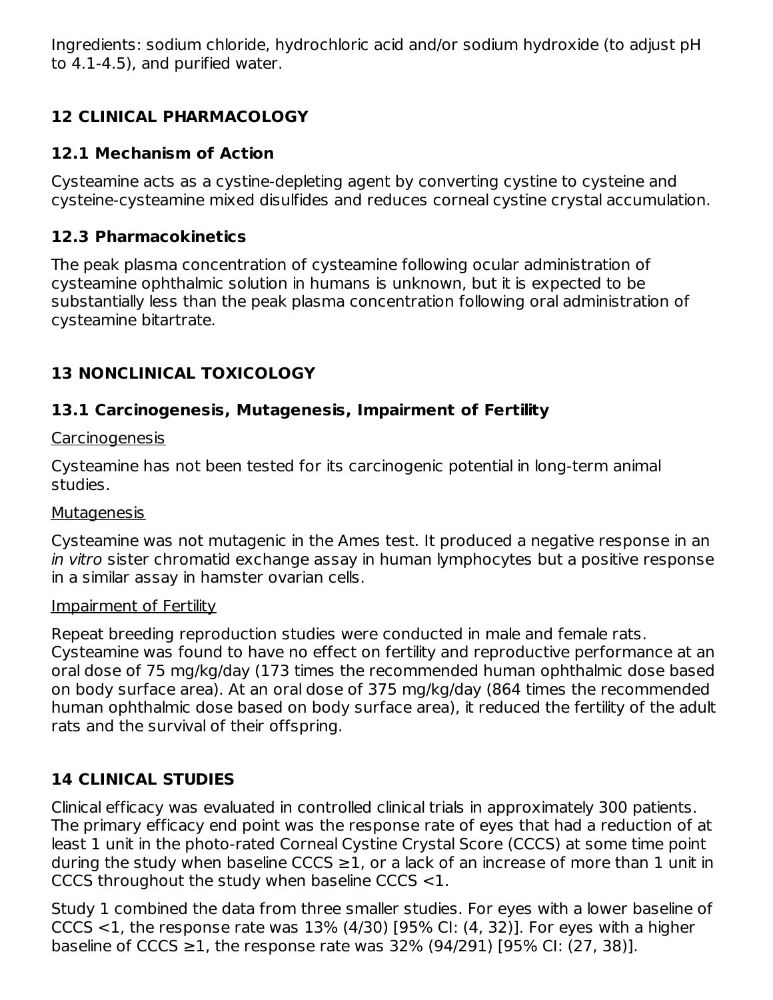Ingredients: sodium chloride, hydrochloric acid and/or sodium hydroxide (to adjust pH to 4.1-4.5), and purified water.

# **12 CLINICAL PHARMACOLOGY**

## **12.1 Mechanism of Action**

Cysteamine acts as a cystine-depleting agent by converting cystine to cysteine and cysteine-cysteamine mixed disulfides and reduces corneal cystine crystal accumulation.

## **12.3 Pharmacokinetics**

The peak plasma concentration of cysteamine following ocular administration of cysteamine ophthalmic solution in humans is unknown, but it is expected to be substantially less than the peak plasma concentration following oral administration of cysteamine bitartrate.

## **13 NONCLINICAL TOXICOLOGY**

## **13.1 Carcinogenesis, Mutagenesis, Impairment of Fertility**

#### Carcinogenesis

Cysteamine has not been tested for its carcinogenic potential in long-term animal studies.

#### **Mutagenesis**

Cysteamine was not mutagenic in the Ames test. It produced a negative response in an in vitro sister chromatid exchange assay in human lymphocytes but a positive response in a similar assay in hamster ovarian cells.

#### Impairment of Fertility

Repeat breeding reproduction studies were conducted in male and female rats. Cysteamine was found to have no effect on fertility and reproductive performance at an oral dose of 75 mg/kg/day (173 times the recommended human ophthalmic dose based on body surface area). At an oral dose of 375 mg/kg/day (864 times the recommended human ophthalmic dose based on body surface area), it reduced the fertility of the adult rats and the survival of their offspring.

# **14 CLINICAL STUDIES**

Clinical efficacy was evaluated in controlled clinical trials in approximately 300 patients. The primary efficacy end point was the response rate of eyes that had a reduction of at least 1 unit in the photo-rated Corneal Cystine Crystal Score (CCCS) at some time point during the study when baseline CCCS  $\geq$ 1, or a lack of an increase of more than 1 unit in CCCS throughout the study when baseline CCCS <1.

Study 1 combined the data from three smaller studies. For eyes with a lower baseline of CCCS  $<$ 1, the response rate was 13% (4/30) [95% CI: (4, 32)]. For eyes with a higher baseline of CCCS ≥1, the response rate was 32% (94/291) [95% CI: (27, 38)].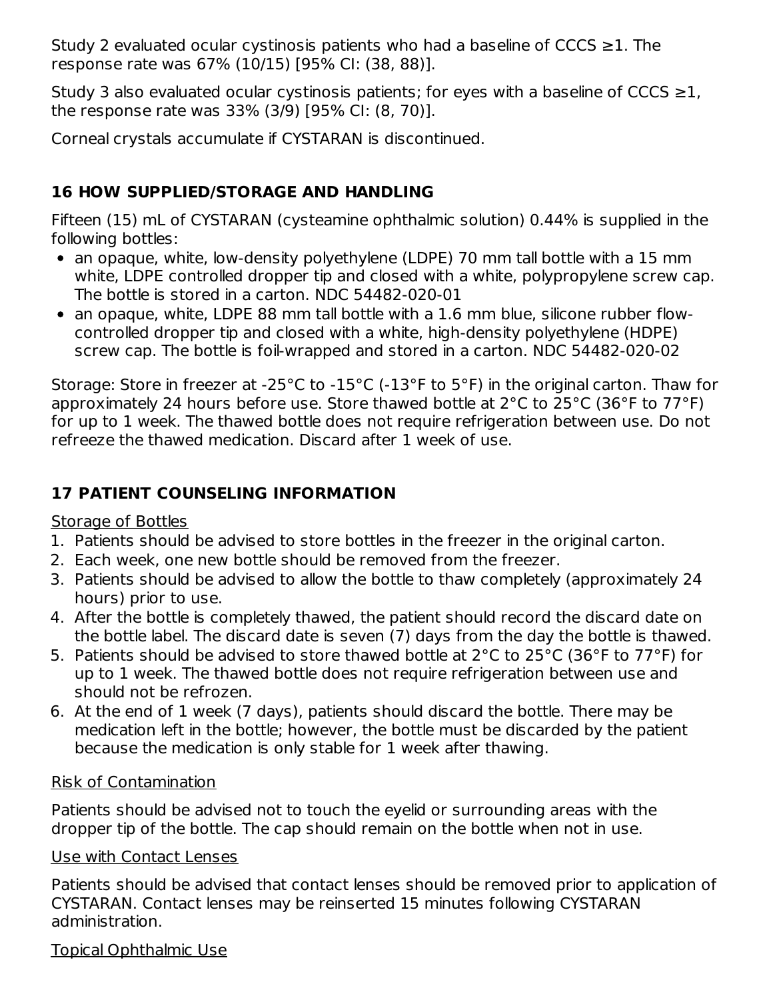Study 2 evaluated ocular cystinosis patients who had a baseline of CCCS  $\geq$ 1. The response rate was 67% (10/15) [95% CI: (38, 88)].

Study 3 also evaluated ocular cystinosis patients; for eyes with a baseline of CCCS  $\geq$ 1, the response rate was 33% (3/9) [95% CI: (8, 70)].

Corneal crystals accumulate if CYSTARAN is discontinued.

# **16 HOW SUPPLIED/STORAGE AND HANDLING**

Fifteen (15) mL of CYSTARAN (cysteamine ophthalmic solution) 0.44% is supplied in the following bottles:

- an opaque, white, low-density polyethylene (LDPE) 70 mm tall bottle with a 15 mm white, LDPE controlled dropper tip and closed with a white, polypropylene screw cap. The bottle is stored in a carton. NDC 54482-020-01
- an opaque, white, LDPE 88 mm tall bottle with a 1.6 mm blue, silicone rubber flowcontrolled dropper tip and closed with a white, high-density polyethylene (HDPE) screw cap. The bottle is foil-wrapped and stored in a carton. NDC 54482-020-02

Storage: Store in freezer at -25°C to -15°C (-13°F to 5°F) in the original carton. Thaw for approximately 24 hours before use. Store thawed bottle at 2°C to 25°C (36°F to 77°F) for up to 1 week. The thawed bottle does not require refrigeration between use. Do not refreeze the thawed medication. Discard after 1 week of use.

# **17 PATIENT COUNSELING INFORMATION**

## Storage of Bottles

- 1. Patients should be advised to store bottles in the freezer in the original carton.
- 2. Each week, one new bottle should be removed from the freezer.
- 3. Patients should be advised to allow the bottle to thaw completely (approximately 24 hours) prior to use.
- 4. After the bottle is completely thawed, the patient should record the discard date on the bottle label. The discard date is seven (7) days from the day the bottle is thawed.
- 5. Patients should be advised to store thawed bottle at 2°C to 25°C (36°F to 77°F) for up to 1 week. The thawed bottle does not require refrigeration between use and should not be refrozen.
- 6. At the end of 1 week (7 days), patients should discard the bottle. There may be medication left in the bottle; however, the bottle must be discarded by the patient because the medication is only stable for 1 week after thawing.

## Risk of Contamination

Patients should be advised not to touch the eyelid or surrounding areas with the dropper tip of the bottle. The cap should remain on the bottle when not in use.

## Use with Contact Lenses

Patients should be advised that contact lenses should be removed prior to application of CYSTARAN. Contact lenses may be reinserted 15 minutes following CYSTARAN administration.

## Topical Ophthalmic Use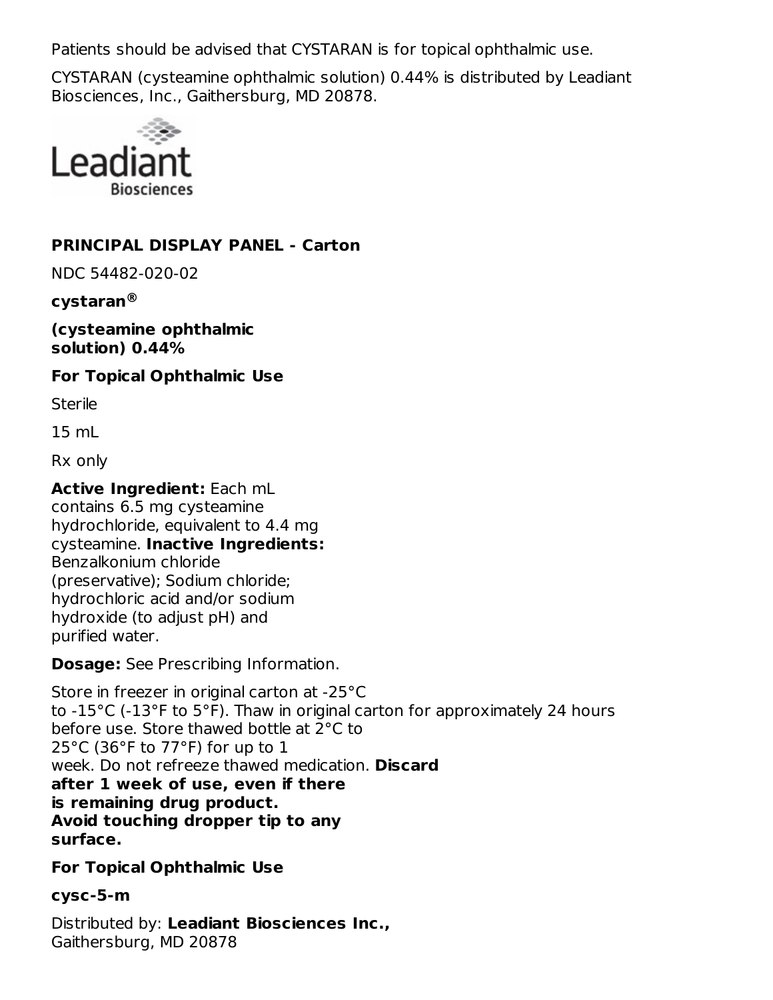Patients should be advised that CYSTARAN is for topical ophthalmic use.

CYSTARAN (cysteamine ophthalmic solution) 0.44% is distributed by Leadiant Biosciences, Inc., Gaithersburg, MD 20878.



#### **PRINCIPAL DISPLAY PANEL - Carton**

NDC 54482-020-02

#### **cystaran ®**

**(cysteamine ophthalmic solution) 0.44%**

#### **For Topical Ophthalmic Use**

**Sterile** 

15 mL

Rx only

**Active Ingredient:** Each mL contains 6.5 mg cysteamine hydrochloride, equivalent to 4.4 mg cysteamine. **Inactive Ingredients:** Benzalkonium chloride (preservative); Sodium chloride; hydrochloric acid and/or sodium hydroxide (to adjust pH) and purified water.

**Dosage:** See Prescribing Information.

Store in freezer in original carton at -25°C to -15°C (-13°F to 5°F). Thaw in original carton for approximately 24 hours before use. Store thawed bottle at 2°C to 25°C (36°F to 77°F) for up to 1 week. Do not refreeze thawed medication. **Discard after 1 week of use, even if there is remaining drug product. Avoid touching dropper tip to any surface.**

**For Topical Ophthalmic Use**

#### **cysc-5-m**

Distributed by: **Leadiant Biosciences Inc.,** Gaithersburg, MD 20878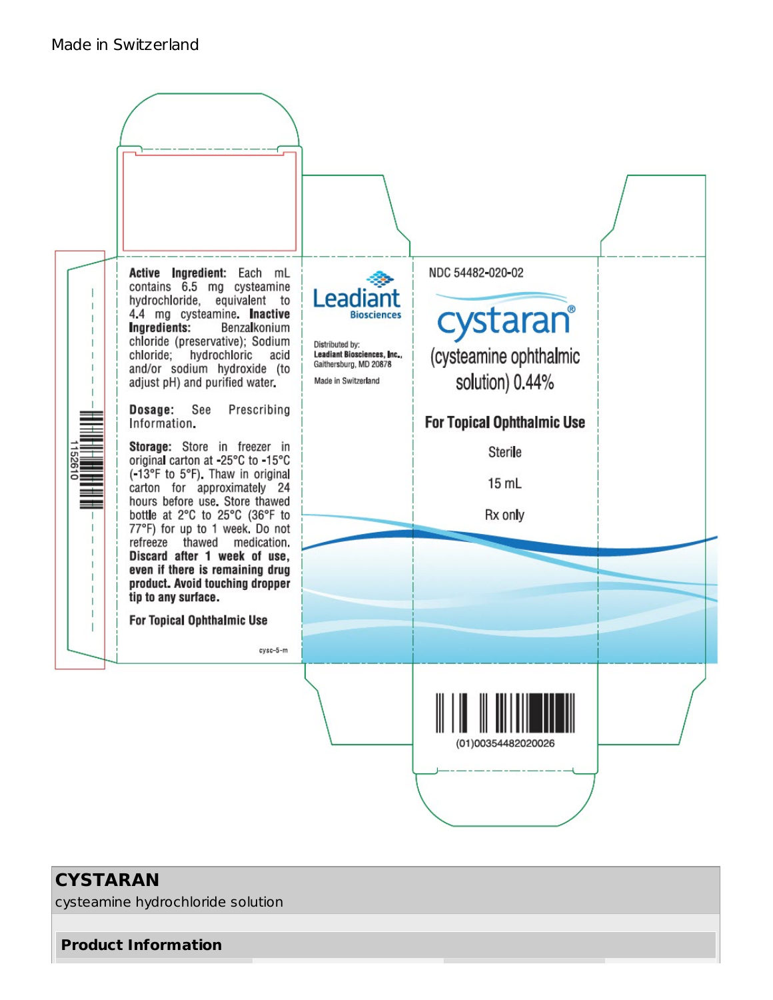

## **CYSTARAN**

cysteamine hydrochloride solution

**Product Information**